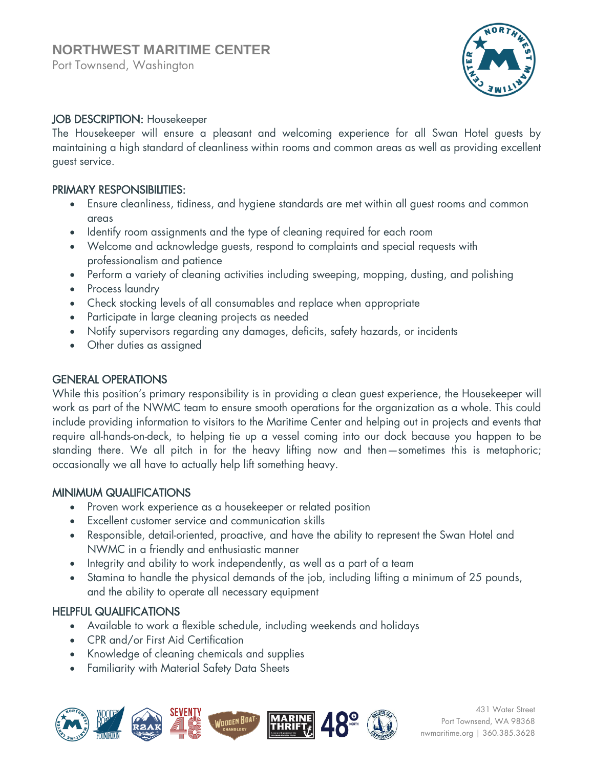Port Townsend, Washington



## JOB DESCRIPTION: Housekeeper

The Housekeeper will ensure a pleasant and welcoming experience for all Swan Hotel guests by maintaining a high standard of cleanliness within rooms and common areas as well as providing excellent guest service.

#### PRIMARY RESPONSIBILITIES:

- Ensure cleanliness, tidiness, and hygiene standards are met within all guest rooms and common areas
- Identify room assignments and the type of cleaning required for each room
- Welcome and acknowledge guests, respond to complaints and special requests with professionalism and patience
- Perform a variety of cleaning activities including sweeping, mopping, dusting, and polishing
- Process laundry
- Check stocking levels of all consumables and replace when appropriate
- Participate in large cleaning projects as needed
- Notify supervisors regarding any damages, deficits, safety hazards, or incidents
- Other duties as assigned

## GENERAL OPERATIONS

While this position's primary responsibility is in providing a clean guest experience, the Housekeeper will work as part of the NWMC team to ensure smooth operations for the organization as a whole. This could include providing information to visitors to the Maritime Center and helping out in projects and events that require all-hands-on-deck, to helping tie up a vessel coming into our dock because you happen to be standing there. We all pitch in for the heavy lifting now and then—sometimes this is metaphoric; occasionally we all have to actually help lift something heavy.

#### MINIMUM QUALIFICATIONS

- Proven work experience as a housekeeper or related position
- Excellent customer service and communication skills
- Responsible, detail-oriented, proactive, and have the ability to represent the Swan Hotel and NWMC in a friendly and enthusiastic manner
- Integrity and ability to work independently, as well as a part of a team
- Stamina to handle the physical demands of the job, including lifting a minimum of 25 pounds, and the ability to operate all necessary equipment

# HELPFUL QUALIFICATIONS

- Available to work a flexible schedule, including weekends and holidays
- CPR and/or First Aid Certification
- Knowledge of cleaning chemicals and supplies
- Familiarity with Material Safety Data Sheets



431 Water Street Port Townsend, WA 98368 nwmaritime.org | 360.385.3628